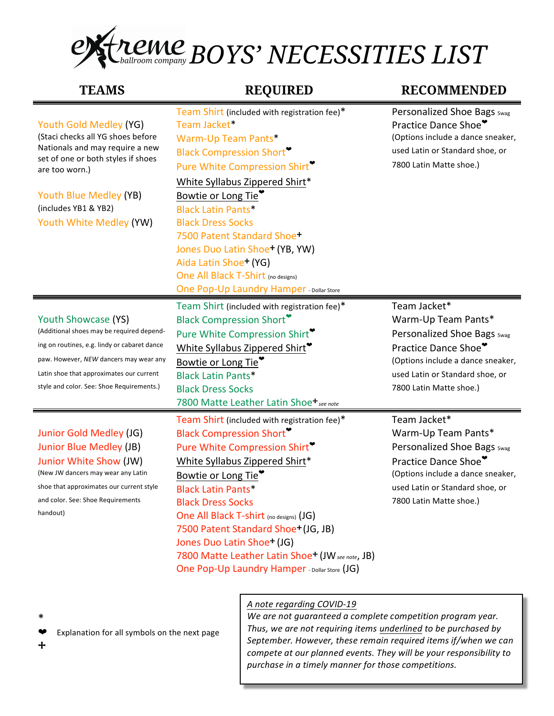

**TEAMS REQUIRED RECOMMENDED**

| Youth Gold Medley (YG)<br>(Staci checks all YG shoes before<br>Nationals and may require a new<br>set of one or both styles if shoes<br>are too worn.)<br>Youth Blue Medley (YB)<br>(includes YB1 & YB2)<br>Youth White Medley (YW)                 | Team Shirt (included with registration fee)*<br>Team Jacket*<br>Warm-Up Team Pants*<br><b>Black Compression Short</b><br>Pure White Compression Shirt<br>White Syllabus Zippered Shirt*<br>Bowtie or Long Tie <sup>*</sup><br><b>Black Latin Pants*</b><br><b>Black Dress Socks</b><br>7500 Patent Standard Shoe+<br>Jones Duo Latin Shoe <sup>+</sup> (YB, YW)<br>Aida Latin Shoe+ (YG)<br>One All Black T-Shirt (no designs)<br><b>One Pop-Up Laundry Hamper - Dollar Store</b>         | Personalized Shoe Bags Swag<br>Practice Dance Shoe"<br>(Options include a dance sneaker,<br>used Latin or Standard shoe, or<br>7800 Latin Matte shoe.)                                        |
|-----------------------------------------------------------------------------------------------------------------------------------------------------------------------------------------------------------------------------------------------------|-------------------------------------------------------------------------------------------------------------------------------------------------------------------------------------------------------------------------------------------------------------------------------------------------------------------------------------------------------------------------------------------------------------------------------------------------------------------------------------------|-----------------------------------------------------------------------------------------------------------------------------------------------------------------------------------------------|
| Youth Showcase (YS)<br>(Additional shoes may be required depend-<br>ing on routines, e.g. lindy or cabaret dance<br>paw. However, NEW dancers may wear any<br>Latin shoe that approximates our current<br>style and color. See: Shoe Requirements.) | Team Shirt (included with registration fee)*<br><b>Black Compression Short</b><br>Pure White Compression Shirt <sup>9</sup><br>White Syllabus Zippered Shirt <sup>*</sup><br>Bowtie or Long Tie <sup>*</sup><br><b>Black Latin Pants*</b><br><b>Black Dress Socks</b><br>7800 Matte Leather Latin Shoe+ see note                                                                                                                                                                          | Team Jacket*<br>Warm-Up Team Pants*<br>Personalized Shoe Bags Swag<br>Practice Dance Shoe*<br>(Options include a dance sneaker,<br>used Latin or Standard shoe, or<br>7800 Latin Matte shoe.) |
| Junior Gold Medley (JG)<br>Junior Blue Medley (JB)<br>Junior White Show (JW)<br>(New JW dancers may wear any Latin<br>shoe that approximates our current style<br>and color. See: Shoe Requirements<br>handout)                                     | Team Shirt (included with registration fee)*<br><b>Black Compression Short</b><br>Pure White Compression Shirt<br>White Syllabus Zippered Shirt*<br>Bowtie or Long Tie <sup>*</sup><br><b>Black Latin Pants*</b><br><b>Black Dress Socks</b><br>One All Black T-shirt (no designs) (JG)<br>7500 Patent Standard Shoe <sup>+</sup> (JG, JB)<br>Jones Duo Latin Shoe <sup>+</sup> (JG)<br>7800 Matte Leather Latin Shoe+ (JW see note, JB)<br>One Pop-Up Laundry Hamper - Dollar Store (JG) | Team Jacket*<br>Warm-Up Team Pants*<br>Personalized Shoe Bags Swag<br>Practice Dance Shoe*<br>(Options include a dance sneaker,<br>used Latin or Standard shoe, or<br>7800 Latin Matte shoe.) |

A note regarding COVID-19

We are not guaranteed a complete competition program year. Thus, we are not requiring items *underlined* to be purchased by September. However, these remain required items if/when we can *compete at our planned events. They will be your responsibility to* purchase in a timely manner for those competitions.

\* 

Explanation for all symbols on the next page

⧾